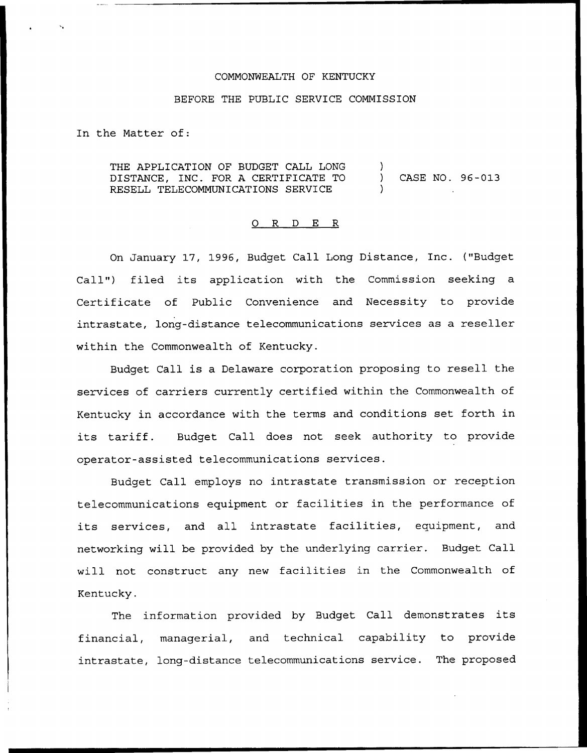## COMMONWEALTH OF KENTUCKY

## BEFORE THE PUBLIC SERVICE COMMISSION

In the Matter of:

THE APPLICATION OF BUDGET CALL LONG DISTANCE, INC. FOR A CERTIFICATE TO RESELL TELECOMMUNICATIONS SERVICE ) ) CASE NO. 96-013 )

## 0 R <sup>D</sup> E R

On January 17, 1996, Budget Call Long Distance, Inc. {"Budget Call") filed its application with the Commission seeking a Certificate of Public Convenience and Necessity to provide intrastate, long-distance telecommunications services as a reseller within the Commonwealth of Kentucky.

Budget Call is a Delaware corporation proposing to resell the services of carriers currently certified within the Commonwealth of Kentucky in accordance with the terms and conditions set forth in its tariff. Budget Call does not seek authority to provide operator-assisted telecommunications services.

Budget Call employs no intrastate transmission or reception telecommunications equipment or facilities in the performance of its services, and all intrastate facilities, equipment, and networking will be provided by the underlying carrier. Budget Call will not construct any new facilities in the Commonwealth of Kentucky.

The information provided by Budget Call demonstrates its financial, managerial, and technical capability to provide intrastate, long-distance telecommunications service. The proposed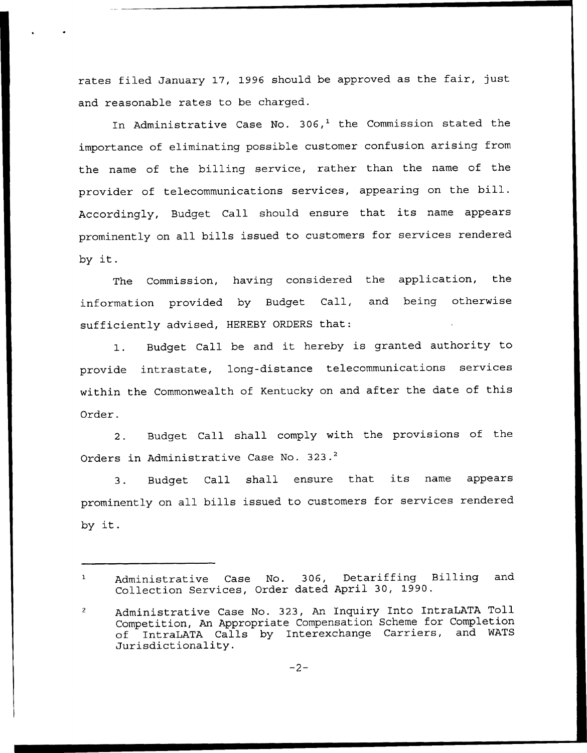rates filed January 17, 1996 should be approved as the fair, just and reasonable rates to be charged.

In Administrative Case No.  $306<sup>1</sup>$  the Commission stated the importance of eliminating possible customer confusion arising from the name of the billing service, rather than the name of the provider of telecommunications services, appearing on the bill. Accordingly, Budget Call should ensure that its name appears prominently on all bills issued to customers for services rendered by it.

The Commission, having considered the application, the information provided by Budget Call, and being otherwise sufficiently advised, HEREBY ORDERS that:

1. Budget Call be and it hereby is granted authority to provide intrastate, long-distance telecommunications services within the Commonwealth of Kentucky on and after the date of this Order.

2. Budget Call shall comply with the provisions of the Orders in Administrative Case No. 323.<sup>2</sup>

Budget Call shall ensure that its name appears  $3.$ prominently on all bills issued to customers for services rendered by it.

Administrative Case No. 306, Detariffing Billing and Collection Services, Order dated April 30, 1990.

 $\overline{c}$ Administrative Case No. 323, An Inquiry Into IntraLATA Toll Competition, An Appropriate Compensation Scheme for Completion of IntraLATA Calls by Interexchange Carriers, and WATS Jurisdictionality.